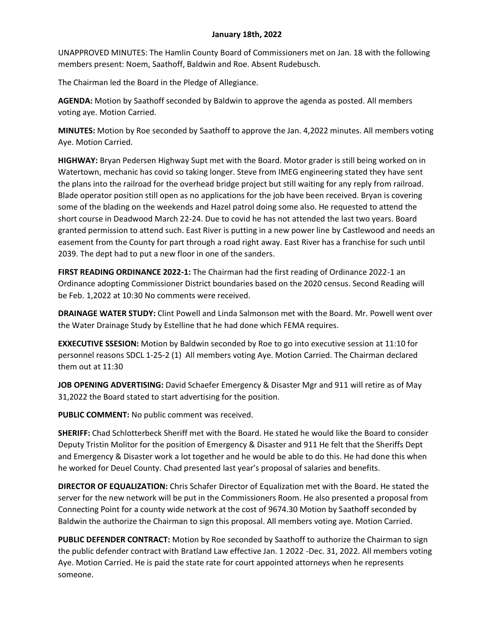## **January 18th, 2022**

UNAPPROVED MINUTES: The Hamlin County Board of Commissioners met on Jan. 18 with the following members present: Noem, Saathoff, Baldwin and Roe. Absent Rudebusch.

The Chairman led the Board in the Pledge of Allegiance.

**AGENDA:** Motion by Saathoff seconded by Baldwin to approve the agenda as posted. All members voting aye. Motion Carried.

**MINUTES:** Motion by Roe seconded by Saathoff to approve the Jan. 4,2022 minutes. All members voting Aye. Motion Carried.

**HIGHWAY:** Bryan Pedersen Highway Supt met with the Board. Motor grader is still being worked on in Watertown, mechanic has covid so taking longer. Steve from IMEG engineering stated they have sent the plans into the railroad for the overhead bridge project but still waiting for any reply from railroad. Blade operator position still open as no applications for the job have been received. Bryan is covering some of the blading on the weekends and Hazel patrol doing some also. He requested to attend the short course in Deadwood March 22-24. Due to covid he has not attended the last two years. Board granted permission to attend such. East River is putting in a new power line by Castlewood and needs an easement from the County for part through a road right away. East River has a franchise for such until 2039. The dept had to put a new floor in one of the sanders.

**FIRST READING ORDINANCE 2022-1:** The Chairman had the first reading of Ordinance 2022-1 an Ordinance adopting Commissioner District boundaries based on the 2020 census. Second Reading will be Feb. 1,2022 at 10:30 No comments were received.

**DRAINAGE WATER STUDY:** Clint Powell and Linda Salmonson met with the Board. Mr. Powell went over the Water Drainage Study by Estelline that he had done which FEMA requires.

**EXXECUTIVE SSESION:** Motion by Baldwin seconded by Roe to go into executive session at 11:10 for personnel reasons SDCL 1-25-2 (1) All members voting Aye. Motion Carried. The Chairman declared them out at 11:30

**JOB OPENING ADVERTISING:** David Schaefer Emergency & Disaster Mgr and 911 will retire as of May 31,2022 the Board stated to start advertising for the position.

**PUBLIC COMMENT:** No public comment was received.

**SHERIFF:** Chad Schlotterbeck Sheriff met with the Board. He stated he would like the Board to consider Deputy Tristin Molitor for the position of Emergency & Disaster and 911 He felt that the Sheriffs Dept and Emergency & Disaster work a lot together and he would be able to do this. He had done this when he worked for Deuel County. Chad presented last year's proposal of salaries and benefits.

**DIRECTOR OF EQUALIZATION:** Chris Schafer Director of Equalization met with the Board. He stated the server for the new network will be put in the Commissioners Room. He also presented a proposal from Connecting Point for a county wide network at the cost of 9674.30 Motion by Saathoff seconded by Baldwin the authorize the Chairman to sign this proposal. All members voting aye. Motion Carried.

**PUBLIC DEFENDER CONTRACT:** Motion by Roe seconded by Saathoff to authorize the Chairman to sign the public defender contract with Bratland Law effective Jan. 1 2022 -Dec. 31, 2022. All members voting Aye. Motion Carried. He is paid the state rate for court appointed attorneys when he represents someone.